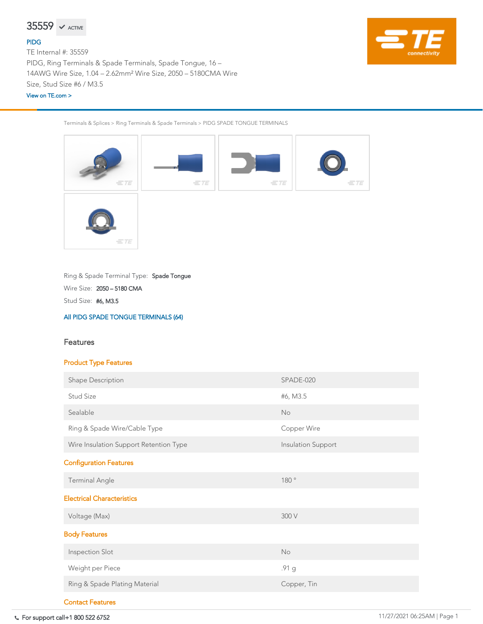For support call+1 800 522 6752 11/27/2021 06:25AM | Page 1

Terminals & Splices > Ring Terminals & Spade Terminals > PIDG SPADE TONGUE TERMINALS



Stud Size: #6, M3.5

Wire Size: 2050 – 5180 CMA

Ring & Spade Terminal Type: Spade Tongue

[All PIDG SPADE TONGUE TERMINALS \(64\)](https://www.te.com/usa-en/product-35559.html)



## Features

# Product Type Features



| <b>Shape Description</b>               | SPADE-020                 |  |
|----------------------------------------|---------------------------|--|
| <b>Stud Size</b>                       | #6, M3.5                  |  |
| Sealable                               | <b>No</b>                 |  |
| Ring & Spade Wire/Cable Type           | <b>Copper Wire</b>        |  |
| Wire Insulation Support Retention Type | <b>Insulation Support</b> |  |
| <b>Configuration Features</b>          |                           |  |
| <b>Terminal Angle</b>                  | 180°                      |  |
| <b>Electrical Characteristics</b>      |                           |  |
| Voltage (Max)                          | 300 V                     |  |
| <b>Body Features</b>                   |                           |  |
| <b>Inspection Slot</b>                 | <b>No</b>                 |  |
| Weight per Piece                       | .91 g                     |  |
| Ring & Spade Plating Material          | Copper, Tin               |  |
| <b>Contact Features</b>                |                           |  |

### [PIDG](https://www.te.com/usa-en/plp/X26kK.html)

TE Internal #: 35559 PIDG, Ring Terminals & Spade Terminals, Spade Tongue, 16 – 14AWG Wire Size, 1.04 – 2.62mm² Wire Size, 2050 – 5180CMA Wire Size, Stud Size #6 / M3.5

#### [View on TE.com >](https://www.te.com/usa-en/product-35559.html)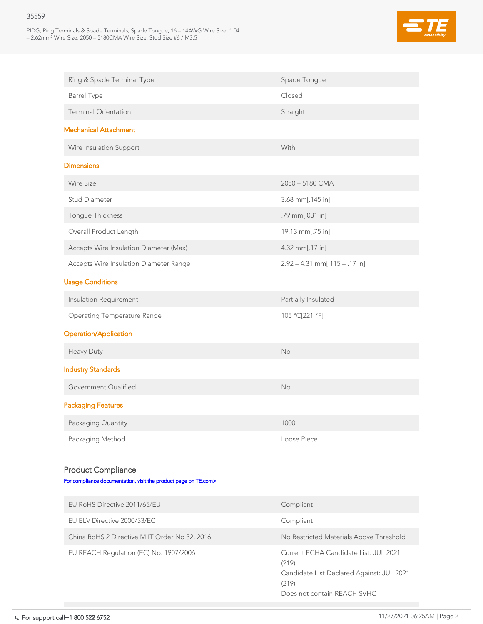PIDG, Ring Terminals & Spade Terminals, Spade Tongue, 16 – 14AWG Wire Size, 1.04 – 2.62mm² Wire Size, 2050 – 5180CMA Wire Size, Stud Size #6 / M3.5



| Ring & Spade Terminal Type                    | Spade Tongue                    |  |
|-----------------------------------------------|---------------------------------|--|
| <b>Barrel Type</b>                            | Closed                          |  |
| <b>Terminal Orientation</b>                   | Straight                        |  |
| <b>Mechanical Attachment</b>                  |                                 |  |
| Wire Insulation Support                       | With                            |  |
| <b>Dimensions</b>                             |                                 |  |
| <b>Wire Size</b>                              | 2050 - 5180 CMA                 |  |
| <b>Stud Diameter</b>                          | $3.68$ mm[.145 in]              |  |
| Tongue Thickness                              | .79 mm[.031 in]                 |  |
| Overall Product Length                        | 19.13 mm[.75 in]                |  |
| Accepts Wire Insulation Diameter (Max)        | 4.32 mm[.17 in]                 |  |
| <b>Accepts Wire Insulation Diameter Range</b> | $2.92 - 4.31$ mm[.115 - .17 in] |  |
| <b>Usage Conditions</b>                       |                                 |  |
| Insulation Requirement                        | Partially Insulated             |  |
| <b>Operating Temperature Range</b>            | 105 °C[221 °F]                  |  |

# Operation/Application

Heavy Duty No. No. 2012 12:00:00 No. 2012 12:00:00 No. 2012 12:00:00 No. 2012 12:00:00 No. 2012 12:00:00 No. 20

# Industry Standards

| Government Qualified                                                                         | <b>No</b>                                                                                                                           |  |
|----------------------------------------------------------------------------------------------|-------------------------------------------------------------------------------------------------------------------------------------|--|
| <b>Packaging Features</b>                                                                    |                                                                                                                                     |  |
| Packaging Quantity                                                                           | 1000                                                                                                                                |  |
| Packaging Method                                                                             | <b>Loose Piece</b>                                                                                                                  |  |
| <b>Product Compliance</b><br>For compliance documentation, visit the product page on TE.com> |                                                                                                                                     |  |
| EU RoHS Directive 2011/65/EU                                                                 | Compliant                                                                                                                           |  |
| EU ELV Directive 2000/53/EC                                                                  | Compliant                                                                                                                           |  |
| China RoHS 2 Directive MIIT Order No 32, 2016                                                | No Restricted Materials Above Threshold                                                                                             |  |
| EU REACH Regulation (EC) No. 1907/2006                                                       | Current ECHA Candidate List: JUL 2021<br>(219)<br>Candidate List Declared Against: JUL 2021<br>(219)<br>Does not contain REACH SVHC |  |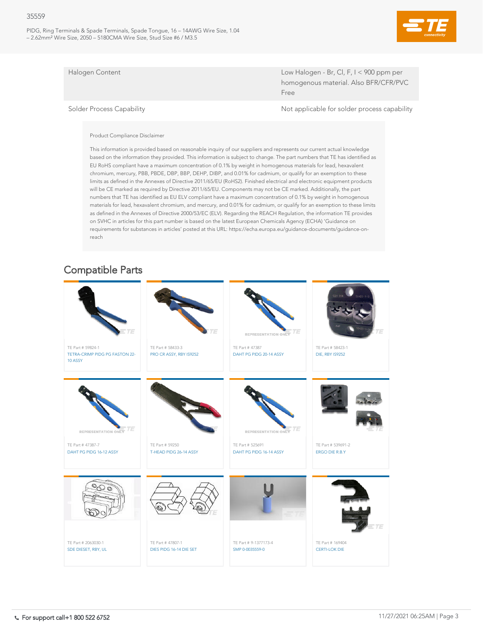PIDG, Ring Terminals & Spade Terminals, Spade Tongue, 16 – 14AWG Wire Size, 1.04 – 2.62mm² Wire Size, 2050 – 5180CMA Wire Size, Stud Size #6 / M3.5



Halogen Content Low Halogen - Br, Cl, F, I < 900 ppm per homogenous material. Also BFR/CFR/PVC Free

Solder Process Capability and Solder Process capability and Solder process capability

#### Product Compliance Disclaimer

This information is provided based on reasonable inquiry of our suppliers and represents our current actual knowledge based on the information they provided. This information is subject to change. The part numbers that TE has identified as EU RoHS compliant have a maximum concentration of 0.1% by weight in homogenous materials for lead, hexavalent chromium, mercury, PBB, PBDE, DBP, BBP, DEHP, DIBP, and 0.01% for cadmium, or qualify for an exemption to these limits as defined in the Annexes of Directive 2011/65/EU (RoHS2). Finished electrical and electronic equipment products will be CE marked as required by Directive 2011/65/EU. Components may not be CE marked. Additionally, the part numbers that TE has identified as EU ELV compliant have a maximum concentration of 0.1% by weight in homogenous materials for lead, hexavalent chromium, and mercury, and 0.01% for cadmium, or qualify for an exemption to these limits as defined in the Annexes of Directive 2000/53/EC (ELV). Regarding the REACH Regulation, the information TE provides on SVHC in articles for this part number is based on the latest European Chemicals Agency (ECHA) 'Guidance on requirements for substances in articles' posted at this URL: https://echa.europa.eu/guidance-documents/guidance-onreach



# Compatible Parts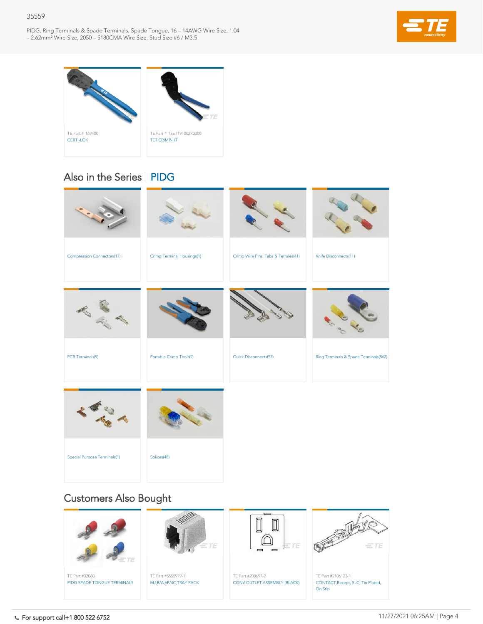PIDG, Ring Terminals & Spade Terminals, Spade Tongue, 16 – 14AWG Wire Size, 1.04 – 2.62mm² Wire Size, 2050 – 5180CMA Wire Size, Stud Size #6 / M3.5







| PCB Terminals(9) | <b>Portable Crimp Tools(2)</b> | <b>Quick Disconnects(53)</b> | Ring Terminals & Spade Terminals(862) |
|------------------|--------------------------------|------------------------------|---------------------------------------|
|                  |                                |                              |                                       |
|                  |                                |                              |                                       |
|                  |                                |                              |                                       |
|                  |                                |                              |                                       |





# Also in the Series | [PIDG](https://www.te.com/usa-en/plp/X26kK.html)

# Customers Also Bought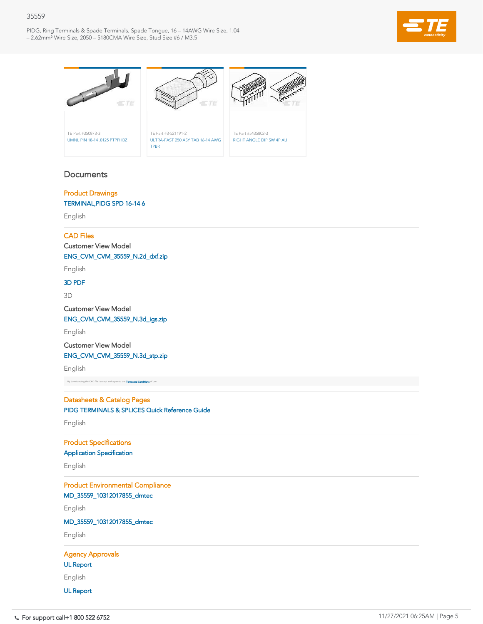PIDG, Ring Terminals & Spade Terminals, Spade Tongue, 16 – 14AWG Wire Size, 1.04 – 2.62mm² Wire Size, 2050 – 5180CMA Wire Size, Stud Size #6 / M3.5





# **Documents**

# Product Drawings [TERMINAL,PIDG SPD 16-14 6](https://www.te.com/commerce/DocumentDelivery/DDEController?Action=showdoc&DocId=Customer+Drawing%7F35559%7FJ2%7Fpdf%7FEnglish%7FENG_CD_35559_J2.pdf%7F35559)

English

### CAD Files

Customer View Model

[ENG\\_CVM\\_CVM\\_35559\\_N.2d\\_dxf.zip](https://www.te.com/commerce/DocumentDelivery/DDEController?Action=showdoc&DocId=Customer+View+Model%7FCVM_35559%7FN%7F2d_dxf.zip%7FEnglish%7FENG_CVM_CVM_35559_N.2d_dxf.zip%7F35559)

English

### [3D PDF](https://www.te.com/commerce/DocumentDelivery/DDEController?Action=showdoc&DocId=Customer+View+Model%7FCVM_35559%7FN%7Fpdf%7F3D%7F3D_CVM_CVM_35559_N.pdf%7F35559)

3D

Customer View Model

[ENG\\_CVM\\_CVM\\_35559\\_N.3d\\_igs.zip](https://www.te.com/commerce/DocumentDelivery/DDEController?Action=showdoc&DocId=Customer+View+Model%7FCVM_35559%7FN%7F3d_igs.zip%7FEnglish%7FENG_CVM_CVM_35559_N.3d_igs.zip%7F35559)

English

Customer View Model

### [ENG\\_CVM\\_CVM\\_35559\\_N.3d\\_stp.zip](https://www.te.com/commerce/DocumentDelivery/DDEController?Action=showdoc&DocId=Customer+View+Model%7FCVM_35559%7FN%7F3d_stp.zip%7FEnglish%7FENG_CVM_CVM_35559_N.3d_stp.zip%7F35559)

English

By downloading the CAD file I accept and agree to the [Terms and Conditions](https://www.te.com/usa-en/policies-agreements/terms-of-use-te-com.html) of use.

# Datasheets & Catalog Pages [PIDG TERMINALS & SPLICES Quick Reference Guide](https://www.te.com/commerce/DocumentDelivery/DDEController?Action=showdoc&DocId=Data+Sheet%7F1773464-1_QRG_PIDG%7F1901%7Fpdf%7FEnglish%7FENG_DS_1773464-1_QRG_PIDG_1901.pdf%7F35559)

English

Product Specifications

[Application Specification](https://www.te.com/commerce/DocumentDelivery/DDEController?Action=showdoc&DocId=Specification+Or+Standard%7F114-2157%7FG%7Fpdf%7FEnglish%7FENG_SS_114-2157_G.pdf%7F35559)

English

Product Environmental Compliance [MD\\_35559\\_10312017855\\_dmtec](https://www.te.com/commerce/DocumentDelivery/DDEController?Action=showdoc&DocId=Product+Compliance%7FMD_35559%7FU%7Fxlsx%7FEnglish%7FENG_PC_MD_35559_U%28521880%29.xlsx%7F35559)

English

[MD\\_35559\\_10312017855\\_dmtec](https://www.te.com/commerce/DocumentDelivery/DDEController?Action=showdoc&DocId=Product+Compliance%7FMD_35559%7FU%7Fxml%7FEnglish%7FENG_PC_MD_35559_U%28903883%29.xml%7F35559)

English

Agency Approvals

[UL Report](https://www.te.com/commerce/DocumentDelivery/DDEController?Action=showdoc&DocId=Agency+Approval+Document%7FUL_E13288_19720315%7FA%7Fpdf%7FEnglish%7FENG_AAD_UL_E13288_19720315_A.pdf%7F35559)

English

[UL Report](https://www.te.com/commerce/DocumentDelivery/DDEController?Action=showdoc&DocId=Agency+Approval+Document%7FUL_E13288_19791001%7FC%7Fpdf%7FEnglish%7FENG_AAD_UL_E13288_19791001_C.pdf%7F35559)